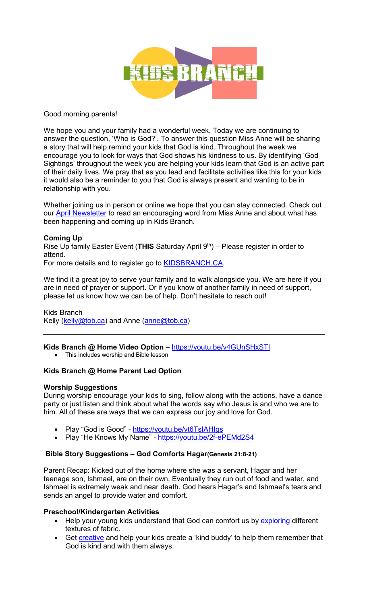

### Good morning parents!

We hope you and your family had a wonderful week. Today we are continuing to answer the question, 'Who is God?'. To answer this question Miss Anne will be sharing a story that will help remind your kids that God is kind. Throughout the week we encourage you to look for ways that God shows his kindness to us. By identifying 'God Sightings' throughout the week you are helping your kids learn that God is an active part of their daily lives. We pray that as you lead and facilitate activities like this for your kids it would also be a reminder to you that God is always present and wanting to be in relationship with you.

Whether joining us in person or online we hope that you can stay connected. Check out our April Newsletter to read an encouraging word from Miss Anne and about what has been happening and coming up in Kids Branch.

### **Coming Up**:

Rise Up family Easter Event (THIS Saturday April 9<sup>th</sup>) – Please register in order to attend.

For more details and to register go to **KIDSBRANCH.CA.** 

We find it a great joy to serve your family and to walk alongside you. We are here if you are in need of prayer or support. Or if you know of another family in need of support, please let us know how we can be of help. Don't hesitate to reach out!

Kids Branch Kelly (kelly@tob.ca) and Anne (anne@tob.ca)

## **Kids Branch @ Home Video Option –** https://youtu.be/v4GUnSHxSTI

• This includes worship and Bible lesson

## **Kids Branch @ Home Parent Led Option**

#### **Worship Suggestions**

During worship encourage your kids to sing, follow along with the actions, have a dance party or just listen and think about what the words say who Jesus is and who we are to him. All of these are ways that we can express our joy and love for God.

- Play "God is Good" https://youtu.be/vt6TsIAHIgs
- Play "He Knows My Name" https://youtu.be/2f-ePEMd2S4

#### **Bible Story Suggestions – God Comforts Hagar(Genesis 21:8-21)**

Parent Recap: Kicked out of the home where she was a servant, Hagar and her teenage son, Ishmael, are on their own. Eventually they run out of food and water, and Ishmael is extremely weak and near death. God hears Hagar's and Ishmael's tears and sends an angel to provide water and comfort.

#### **Preschool/Kindergarten Activities**

- Help your young kids understand that God can comfort us by exploring different textures of fabric.
- Get creative and help your kids create a 'kind buddy' to help them remember that God is kind and with them always.